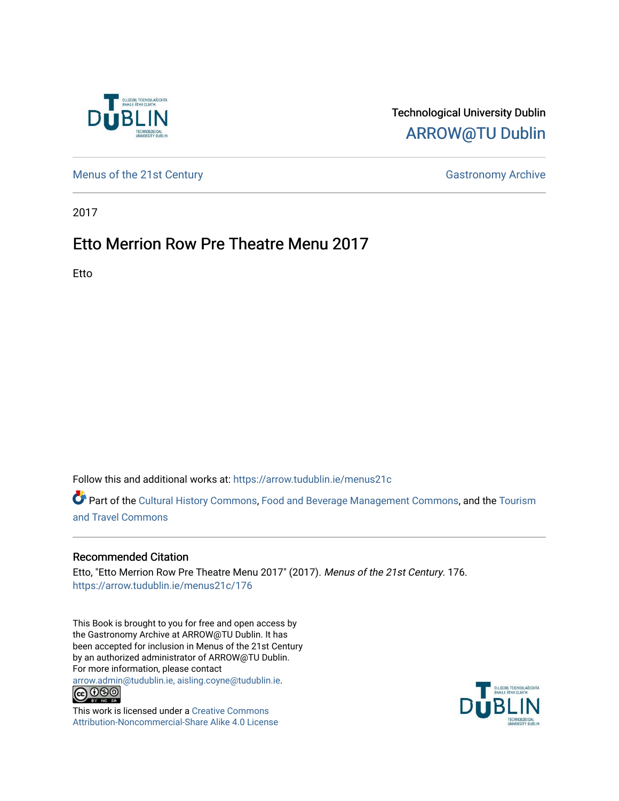

## Technological University Dublin [ARROW@TU Dublin](https://arrow.tudublin.ie/)

[Menus of the 21st Century](https://arrow.tudublin.ie/menus21c) Gastronomy Archive

2017

## Etto Merrion Row Pre Theatre Menu 2017

Etto

Follow this and additional works at: [https://arrow.tudublin.ie/menus21c](https://arrow.tudublin.ie/menus21c?utm_source=arrow.tudublin.ie%2Fmenus21c%2F176&utm_medium=PDF&utm_campaign=PDFCoverPages) 

Part of the [Cultural History Commons](http://network.bepress.com/hgg/discipline/496?utm_source=arrow.tudublin.ie%2Fmenus21c%2F176&utm_medium=PDF&utm_campaign=PDFCoverPages), [Food and Beverage Management Commons,](http://network.bepress.com/hgg/discipline/1089?utm_source=arrow.tudublin.ie%2Fmenus21c%2F176&utm_medium=PDF&utm_campaign=PDFCoverPages) and the [Tourism](http://network.bepress.com/hgg/discipline/1082?utm_source=arrow.tudublin.ie%2Fmenus21c%2F176&utm_medium=PDF&utm_campaign=PDFCoverPages) [and Travel Commons](http://network.bepress.com/hgg/discipline/1082?utm_source=arrow.tudublin.ie%2Fmenus21c%2F176&utm_medium=PDF&utm_campaign=PDFCoverPages)

## Recommended Citation

Etto, "Etto Merrion Row Pre Theatre Menu 2017" (2017). Menus of the 21st Century. 176. [https://arrow.tudublin.ie/menus21c/176](https://arrow.tudublin.ie/menus21c/176?utm_source=arrow.tudublin.ie%2Fmenus21c%2F176&utm_medium=PDF&utm_campaign=PDFCoverPages) 

This Book is brought to you for free and open access by the Gastronomy Archive at ARROW@TU Dublin. It has been accepted for inclusion in Menus of the 21st Century by an authorized administrator of ARROW@TU Dublin. For more information, please contact

[arrow.admin@tudublin.ie, aisling.coyne@tudublin.ie](mailto:arrow.admin@tudublin.ie,%20aisling.coyne@tudublin.ie).<br>
co 060



This work is licensed under a [Creative Commons](http://creativecommons.org/licenses/by-nc-sa/4.0/) [Attribution-Noncommercial-Share Alike 4.0 License](http://creativecommons.org/licenses/by-nc-sa/4.0/)